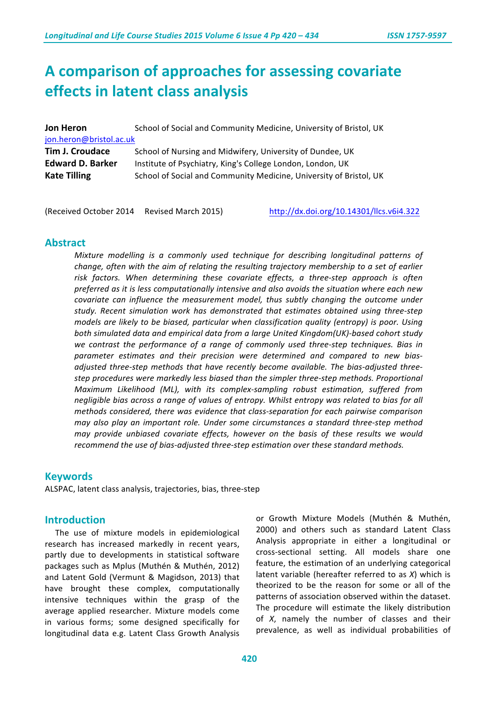# **A** comparison of approaches for assessing covariate **effects in latent class analysis**

| Jon Heron                                      | School of Social and Community Medicine, University of Bristol, UK                                                               |  |  |  |  |  |  |
|------------------------------------------------|----------------------------------------------------------------------------------------------------------------------------------|--|--|--|--|--|--|
| jon.heron@bristol.ac.uk                        |                                                                                                                                  |  |  |  |  |  |  |
| <b>Tim J. Croudace</b>                         | School of Nursing and Midwifery, University of Dundee, UK                                                                        |  |  |  |  |  |  |
| <b>Edward D. Barker</b><br><b>Kate Tilling</b> | Institute of Psychiatry, King's College London, London, UK<br>School of Social and Community Medicine, University of Bristol, UK |  |  |  |  |  |  |
|                                                |                                                                                                                                  |  |  |  |  |  |  |

(Received October 2014 Revised March 2015) http://dx.doi.org/10.14301/llcs.v6i4.322

# **Abstract**

*Mixture* modelling is a commonly used technique for describing longitudinal patterns of *change, often with the aim of relating the resulting trajectory membership to a set of earlier* risk factors. When determining these covariate effects, a three-step approach is often *preferred as it is less computationally intensive and also avoids the situation where each new covariate can influence the measurement model, thus subtly changing the outcome under* study. Recent simulation work has demonstrated that estimates obtained using three-step *models* are likely to be biased, particular when classification quality (entropy) is poor. Using both simulated data and empirical data from a large United Kingdom(UK)-based cohort study we contrast the performance of a range of commonly used three-step techniques. Bias in parameter estimates and their precision were determined and compared to new biasadjusted three-step methods that have recently become available. The bias-adjusted threestep procedures were markedly less biased than the simpler three-step methods. Proportional *Maximum Likelihood (ML), with its complex-sampling robust estimation, suffered from*  negligible bias across a range of values of entropy. Whilst entropy was related to bias for all *methods considered, there was evidence that class-separation for each pairwise comparison may also play an important role. Under some circumstances a standard three-step method may provide unbiased covariate effects, however on the basis of these results we would* recommend the use of bias-adjusted three-step estimation over these standard methods.

# **Keywords**

ALSPAC, latent class analysis, trajectories, bias, three-step

# **Introduction**

The use of mixture models in epidemiological research has increased markedly in recent years, partly due to developments in statistical software packages such as Mplus (Muthén & Muthén, 2012) and Latent Gold (Vermunt & Magidson, 2013) that have brought these complex, computationally intensive techniques within the grasp of the average applied researcher. Mixture models come in various forms; some designed specifically for longitudinal data e.g. Latent Class Growth Analysis

or Growth Mixture Models (Muthén & Muthén, 2000) and others such as standard Latent Class Analysis appropriate in either a longitudinal or cross-sectional setting. All models share one feature, the estimation of an underlying categorical latent variable (hereafter referred to as *X*) which is theorized to be the reason for some or all of the patterns of association observed within the dataset. The procedure will estimate the likely distribution of *X*, namely the number of classes and their prevalence, as well as individual probabilities of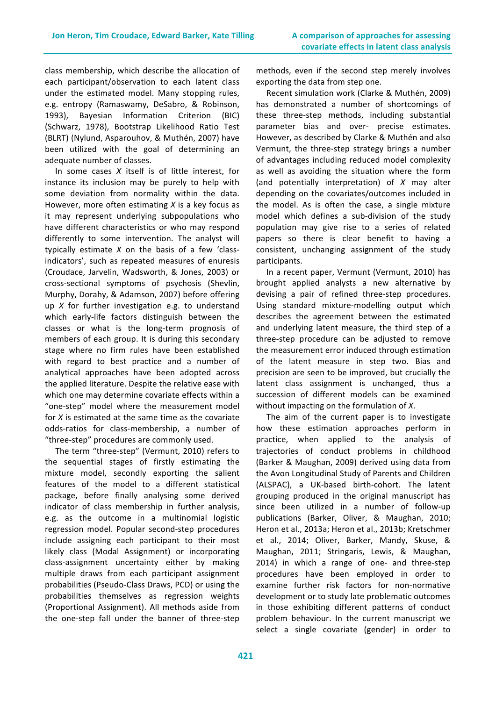class membership, which describe the allocation of each participant/observation to each latent class under the estimated model. Many stopping rules, e.g. entropy (Ramaswamy, DeSabro, & Robinson, 1993), Bayesian Information Criterion (BIC) (Schwarz, 1978), Bootstrap Likelihood Ratio Test (BLRT) (Nylund, Asparouhov, & Muthén, 2007) have been utilized with the goal of determining an adequate number of classes.

In some cases *X* itself is of little interest, for instance its inclusion may be purely to help with some deviation from normality within the data. However, more often estimating *X* is a key focus as it may represent underlying subpopulations who have different characteristics or who may respond differently to some intervention. The analyst will typically estimate  $X$  on the basis of a few 'classindicators', such as repeated measures of enuresis (Croudace, Jarvelin, Wadsworth, & Jones, 2003) or cross-sectional symptoms of psychosis (Shevlin, Murphy, Dorahy, & Adamson, 2007) before offering up *X* for further investigation e.g. to understand which early-life factors distinguish between the classes or what is the long-term prognosis of members of each group. It is during this secondary stage where no firm rules have been established with regard to best practice and a number of analytical approaches have been adopted across the applied literature. Despite the relative ease with which one may determine covariate effects within a "one-step" model where the measurement model for  $X$  is estimated at the same time as the covariate odds-ratios for class-membership, a number of "three-step" procedures are commonly used.

The term "three-step" (Vermunt, 2010) refers to the sequential stages of firstly estimating the mixture model, secondly exporting the salient features of the model to a different statistical package, before finally analysing some derived indicator of class membership in further analysis, e.g. as the outcome in a multinomial logistic regression model. Popular second-step procedures include assigning each participant to their most likely class (Modal Assignment) or incorporating class-assignment uncertainty either by making multiple draws from each participant assignment probabilities (Pseudo-Class Draws, PCD) or using the probabilities themselves as regression weights (Proportional Assignment). All methods aside from the one-step fall under the banner of three-step

methods, even if the second step merely involves exporting the data from step one.

Recent simulation work (Clarke & Muthén, 2009) has demonstrated a number of shortcomings of these three-step methods, including substantial parameter bias and over- precise estimates. However, as described by Clarke & Muthén and also Vermunt, the three-step strategy brings a number of advantages including reduced model complexity as well as avoiding the situation where the form (and potentially interpretation) of *X* may alter depending on the covariates/outcomes included in the model. As is often the case, a single mixture model which defines a sub-division of the study population may give rise to a series of related papers so there is clear benefit to having a consistent, unchanging assignment of the study participants.

In a recent paper, Vermunt (Vermunt, 2010) has brought applied analysts a new alternative by devising a pair of refined three-step procedures. Using standard mixture-modelling output which describes the agreement between the estimated and underlying latent measure, the third step of a three-step procedure can be adjusted to remove the measurement error induced through estimation of the latent measure in step two. Bias and precision are seen to be improved, but crucially the latent class assignment is unchanged, thus a succession of different models can be examined without impacting on the formulation of *X*.

The aim of the current paper is to investigate how these estimation approaches perform in practice, when applied to the analysis of trajectories of conduct problems in childhood (Barker & Maughan, 2009) derived using data from the Avon Longitudinal Study of Parents and Children (ALSPAC), a UK-based birth-cohort. The latent grouping produced in the original manuscript has since been utilized in a number of follow-up publications (Barker, Oliver, & Maughan, 2010; Heron et al., 2013a; Heron et al., 2013b; Kretschmer et al., 2014; Oliver, Barker, Mandy, Skuse, & Maughan, 2011; Stringaris, Lewis, & Maughan, 2014) in which a range of one- and three-step procedures have been employed in order to examine further risk factors for non-normative development or to study late problematic outcomes in those exhibiting different patterns of conduct problem behaviour. In the current manuscript we select a single covariate (gender) in order to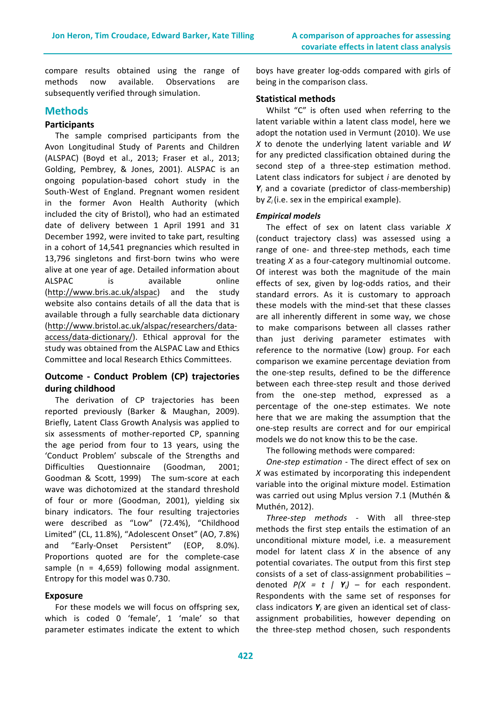compare results obtained using the range of methods now available. Observations are subsequently verified through simulation.

# **Methods**

# **Participants**

The sample comprised participants from the Avon Longitudinal Study of Parents and Children (ALSPAC) (Boyd et al., 2013; Fraser et al., 2013; Golding, Pembrey, & Jones, 2001). ALSPAC is an ongoing population-based cohort study in the South-West of England. Pregnant women resident in the former Avon Health Authority (which included the city of Bristol), who had an estimated date of delivery between 1 April 1991 and 31 December 1992, were invited to take part, resulting in a cohort of 14,541 pregnancies which resulted in 13,796 singletons and first-born twins who were alive at one year of age. Detailed information about ALSPAC is available online (http://www.bris.ac.uk/alspac) and the study website also contains details of all the data that is available through a fully searchable data dictionary (http://www.bristol.ac.uk/alspac/researchers/dataaccess/data-dictionary/). Ethical approval for the study was obtained from the ALSPAC Law and Ethics Committee and local Research Ethics Committees.

# **Outcome - Conduct Problem (CP) trajectories during childhood**

The derivation of CP trajectories has been reported previously (Barker & Maughan, 2009). Briefly, Latent Class Growth Analysis was applied to six assessments of mother-reported CP, spanning the age period from four to 13 years, using the 'Conduct Problem' subscale of the Strengths and Difficulties Questionnaire (Goodman, 2001; Goodman & Scott, 1999) The sum-score at each wave was dichotomized at the standard threshold of four or more (Goodman, 2001), yielding six binary indicators. The four resulting trajectories were described as "Low" (72.4%), "Childhood Limited" (CL, 11.8%), "Adolescent Onset" (AO, 7.8%) and "Early-Onset Persistent" (EOP, 8.0%). Proportions quoted are for the complete-case sample ( $n = 4,659$ ) following modal assignment. Entropy for this model was 0.730.

#### **Exposure**

For these models we will focus on offspring sex, which is coded 0 'female', 1 'male' so that parameter estimates indicate the extent to which

boys have greater log-odds compared with girls of being in the comparison class.

#### **Statistical methods**

Whilst "C" is often used when referring to the latent variable within a latent class model, here we adopt the notation used in Vermunt (2010). We use *X* to denote the underlying latent variable and *W* for any predicted classification obtained during the second step of a three-step estimation method. Latent class indicators for subject *i* are denoted by  $Y_i$  and a covariate (predictor of class-membership) by  $Z_i$  (i.e. sex in the empirical example).

#### *Empirical models*

The effect of sex on latent class variable X (conduct trajectory class) was assessed using a range of one- and three-step methods, each time treating *X* as a four-category multinomial outcome. Of interest was both the magnitude of the main effects of sex, given by log-odds ratios, and their standard errors. As it is customary to approach these models with the mind-set that these classes are all inherently different in some way, we chose to make comparisons between all classes rather than just deriving parameter estimates with reference to the normative (Low) group. For each comparison we examine percentage deviation from the one-step results, defined to be the difference between each three-step result and those derived from the one-step method, expressed as a percentage of the one-step estimates. We note here that we are making the assumption that the one-step results are correct and for our empirical models we do not know this to be the case.

The following methods were compared:

*One-step estimation - The direct effect of sex on* X was estimated by incorporating this independent variable into the original mixture model. Estimation was carried out using Mplus version 7.1 (Muthén & Muthén, 2012).

 *Three-step methods -* With all three-step methods the first step entails the estimation of an unconditional mixture model, i.e. a measurement model for latent class  $X$  in the absence of any potential covariates. The output from this first step consists of a set of class-assignment probabilities denoted  $P(X = t | Y_i)$  – for each respondent. Respondents with the same set of responses for class indicators Y<sub>*i*</sub> are given an identical set of classassignment probabilities, however depending on the three-step method chosen, such respondents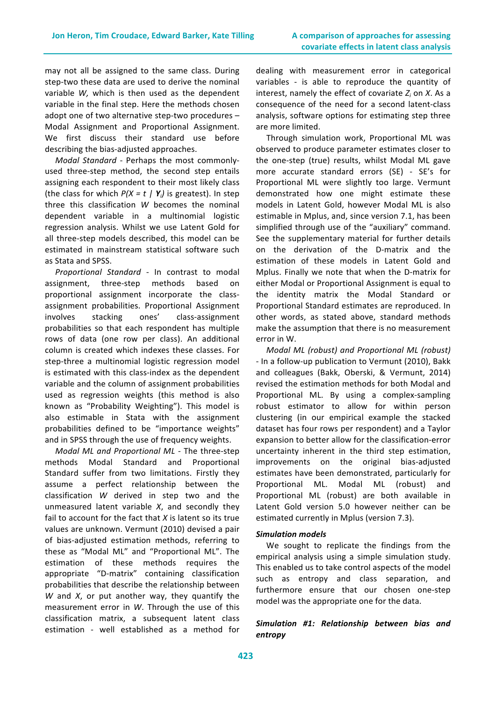may not all be assigned to the same class. During step-two these data are used to derive the nominal variable *W*, which is then used as the dependent variable in the final step. Here the methods chosen adopt one of two alternative step-two procedures  $-$ Modal Assignment and Proportional Assignment. We first discuss their standard use before describing the bias-adjusted approaches.

*Modal Standard* - Perhaps the most commonlyused three-step method, the second step entails assigning each respondent to their most likely class (the class for which  $P(X = t \mid Y_i)$  is greatest). In step three this classification *W* becomes the nominal dependent variable in a multinomial logistic regression analysis. Whilst we use Latent Gold for all three-step models described, this model can be estimated in mainstream statistical software such as Stata and SPSS.

*Proportional Standard - In contrast to modal* assignment, three-step methods based on proportional assignment incorporate the classassignment probabilities. Proportional Assignment involves stacking ones' class-assignment probabilities so that each respondent has multiple rows of data (one row per class). An additional column is created which indexes these classes. For step-three a multinomial logistic regression model is estimated with this class-index as the dependent variable and the column of assignment probabilities used as regression weights (this method is also known as "Probability Weighting"). This model is also estimable in Stata with the assignment probabilities defined to be "importance weights" and in SPSS through the use of frequency weights.

*Modal ML and Proportional ML - The three-step* methods Modal Standard and Proportional Standard suffer from two limitations. Firstly they assume a perfect relationship between the classification *W* derived in step two and the unmeasured latent variable  $X$ , and secondly they fail to account for the fact that  $X$  is latent so its true values are unknown. Vermunt (2010) devised a pair of bias-adjusted estimation methods, referring to these as "Modal ML" and "Proportional ML". The estimation of these methods requires the appropriate "D-matrix" containing classification probabilities that describe the relationship between *W* and *X*, or put another way, they quantify the measurement error in W. Through the use of this classification matrix, a subsequent latent class estimation - well established as a method for dealing with measurement error in categorical variables - is able to reproduce the quantity of interest, namely the effect of covariate  $Z_i$  on  $X$ . As a consequence of the need for a second latent-class analysis, software options for estimating step three are more limited.

Through simulation work, Proportional ML was observed to produce parameter estimates closer to the one-step (true) results, whilst Modal ML gave more accurate standard errors (SE) - SE's for Proportional ML were slightly too large. Vermunt demonstrated how one might estimate these models in Latent Gold, however Modal ML is also estimable in Mplus, and, since version 7.1, has been simplified through use of the "auxiliary" command. See the supplementary material for further details on the derivation of the D-matrix and the estimation of these models in Latent Gold and Mplus. Finally we note that when the D-matrix for either Modal or Proportional Assignment is equal to the identity matrix the Modal Standard or Proportional Standard estimates are reproduced. In other words, as stated above, standard methods make the assumption that there is no measurement error in W.

*Modal ML (robust) and Proportional ML (robust)* - In a follow-up publication to Vermunt (2010), Bakk and colleagues (Bakk, Oberski, & Vermunt, 2014) revised the estimation methods for both Modal and Proportional ML. By using a complex-sampling robust estimator to allow for within person clustering (in our empirical example the stacked dataset has four rows per respondent) and a Taylor expansion to better allow for the classification-error uncertainty inherent in the third step estimation, improvements on the original bias-adjusted estimates have been demonstrated, particularly for Proportional ML. Modal ML (robust) and Proportional ML (robust) are both available in Latent Gold version 5.0 however neither can be estimated currently in Mplus (version 7.3).

#### *Simulation models*

We sought to replicate the findings from the empirical analysis using a simple simulation study. This enabled us to take control aspects of the model such as entropy and class separation, and furthermore ensure that our chosen one-step model was the appropriate one for the data.

# Simulation #1: Relationship between bias and *entropy*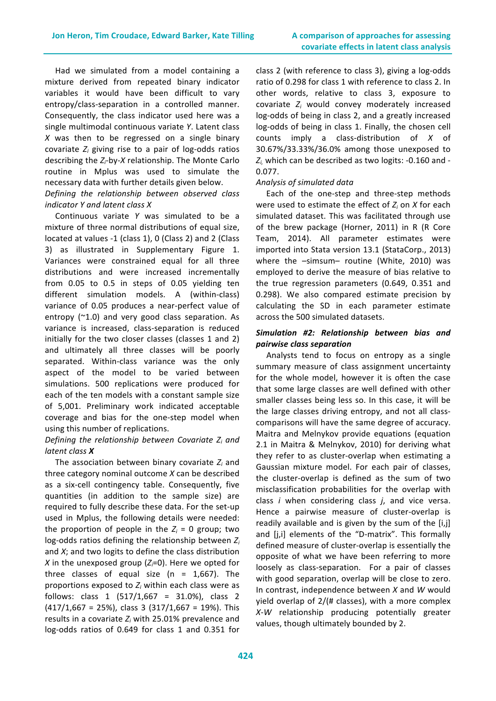Had we simulated from a model containing a mixture derived from repeated binary indicator variables it would have been difficult to vary entropy/class-separation in a controlled manner. Consequently, the class indicator used here was a single multimodal continuous variate *Y*. Latent class  $X$  was then to be regressed on a single binary covariate  $Z_i$  giving rise to a pair of log-odds ratios describing the  $Z_i$ -by-*X* relationship. The Monte Carlo routine in Mplus was used to simulate the necessary data with further details given below.

#### *Defining the relationship between observed class indicator Y and latent class X*

 Continuous variate *Y* was simulated to be a mixture of three normal distributions of equal size, located at values -1 (class 1), 0 (Class 2) and 2 (Class 3) as illustrated in Supplementary Figure 1. Variances were constrained equal for all three distributions and were increased incrementally from 0.05 to 0.5 in steps of 0.05 yielding ten different simulation models. A (within-class) variance of 0.05 produces a near-perfect value of entropy  $(^{21.0})$  and very good class separation. As variance is increased, class-separation is reduced initially for the two closer classes (classes 1 and 2) and ultimately all three classes will be poorly separated. Within-class variance was the only aspect of the model to be varied between simulations. 500 replications were produced for each of the ten models with a constant sample size of 5,001. Preliminary work indicated acceptable coverage and bias for the one-step model when using this number of replications.

# *Defining the relationship between Covariate*  $Z_i$  *and latent class X*

The association between binary covariate  $Z_i$  and three category nominal outcome *X* can be described as a six-cell contingency table. Consequently, five quantities (in addition to the sample size) are required to fully describe these data. For the set-up used in Mplus, the following details were needed: the proportion of people in the  $Z_i = 0$  group; two log-odds ratios defining the relationship between  $Z_i$ and  $X$ ; and two logits to define the class distribution *X* in the unexposed group  $(Z_i=0)$ . Here we opted for three classes of equal size ( $n = 1,667$ ). The proportions exposed to  $Z_i$  within each class were as follows: class  $1$  (517/1,667 = 31.0%), class 2  $(417/1,667 = 25\%)$ , class 3  $(317/1,667 = 19\%)$ . This results in a covariate  $Z_i$  with 25.01% prevalence and log-odds ratios of 0.649 for class 1 and 0.351 for

class 2 (with reference to class 3), giving a log-odds ratio of 0.298 for class 1 with reference to class 2. In other words, relative to class 3, exposure to covariate  $Z_i$  would convey moderately increased log-odds of being in class 2, and a greatly increased log-odds of being in class 1. Finally, the chosen cell counts imply a class-distribution of *X* of 30.67%/33.33%/36.0% among those unexposed to  $Z_i$ , which can be described as two logits:  $-0.160$  and  $-$ 0.077. 

#### *Analysis of simulated data*

Each of the one-step and three-step methods were used to estimate the effect of  $Z_i$  on  $X$  for each simulated dataset. This was facilitated through use of the brew package (Horner, 2011) in R (R Core Team, 2014). All parameter estimates were imported into Stata version 13.1 (StataCorp., 2013) where the  $-simsum-$  routine (White, 2010) was employed to derive the measure of bias relative to the true regression parameters (0.649, 0.351 and 0.298). We also compared estimate precision by calculating the SD in each parameter estimate across the 500 simulated datasets.

## *Simulation #2: Relationship between bias and pairwise class separation*

Analysts tend to focus on entropy as a single summary measure of class assignment uncertainty for the whole model, however it is often the case that some large classes are well defined with other smaller classes being less so. In this case, it will be the large classes driving entropy, and not all classcomparisons will have the same degree of accuracy. Maitra and Melnykov provide equations (equation 2.1 in Maitra & Melnykov, 2010) for deriving what they refer to as cluster-overlap when estimating a Gaussian mixture model. For each pair of classes, the cluster-overlap is defined as the sum of two misclassification probabilities for the overlap with class *i* when considering class *j*, and vice versa. Hence a pairwise measure of cluster-overlap is readily available and is given by the sum of the  $[i,j]$ and [j,i] elements of the "D-matrix". This formally defined measure of cluster-overlap is essentially the opposite of what we have been referring to more loosely as class-separation. For a pair of classes with good separation, overlap will be close to zero. In contrast, independence between *X* and *W* would yield overlap of  $2/(#$  classes), with a more complex *X*-*W* relationship producing potentially greater values, though ultimately bounded by 2.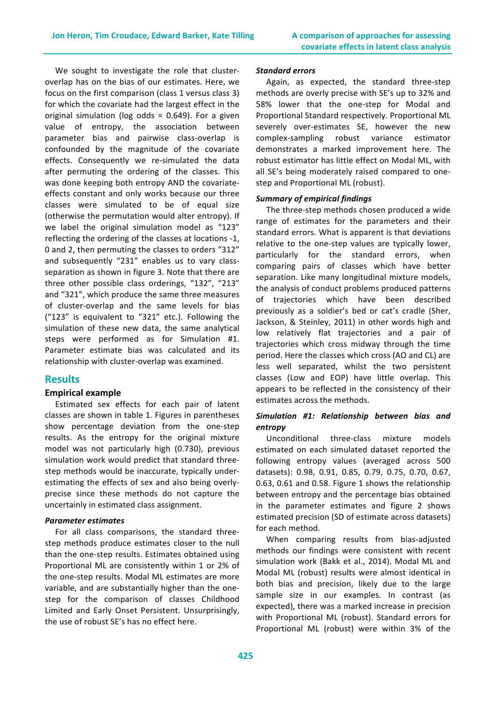We sought to investigate the role that clusteroverlap has on the bias of our estimates. Here, we focus on the first comparison (class 1 versus class 3) for which the covariate had the largest effect in the original simulation ( $log$  odds = 0.649). For a given value of entropy, the association between parameter bias and pairwise class-overlap is confounded by the magnitude of the covariate effects. Consequently we re-simulated the data after permuting the ordering of the classes. This was done keeping both entropy AND the covariateeffects constant and only works because our three classes were simulated to be of equal size (otherwise the permutation would alter entropy). If we label the original simulation model as "123" reflecting the ordering of the classes at locations -1, 0 and 2, then permuting the classes to orders "312" and subsequently "231" enables us to vary classseparation as shown in figure 3. Note that there are three other possible class orderings, "132", "213" and "321", which produce the same three measures of cluster-overlap and the same levels for bias ("123" is equivalent to "321" etc.). Following the simulation of these new data, the same analytical steps were performed as for Simulation #1. Parameter estimate bias was calculated and its relationship with cluster-overlap was examined.

# **Results**

# **Empirical example**

Estimated sex effects for each pair of latent classes are shown in table 1. Figures in parentheses show percentage deviation from the one-step results. As the entropy for the original mixture model was not particularly high (0.730), previous simulation work would predict that standard threestep methods would be inaccurate, typically underestimating the effects of sex and also being overlyprecise since these methods do not capture the uncertainly in estimated class assignment.

#### *Parameter estimates*

For all class comparisons, the standard threestep methods produce estimates closer to the null than the one-step results. Estimates obtained using Proportional ML are consistently within 1 or 2% of the one-step results. Modal ML estimates are more variable, and are substantially higher than the onestep for the comparison of classes Childhood Limited and Early Onset Persistent. Unsurprisingly, the use of robust SE's has no effect here.

#### *Standard errors*

Again, as expected, the standard three-step methods are overly precise with SE's up to 32% and 58% lower that the one-step for Modal and Proportional Standard respectively. Proportional ML severely over-estimates SE, however the new complex-sampling robust variance estimator demonstrates a marked improvement here. The robust estimator has little effect on Modal ML, with all SE's being moderately raised compared to onestep and Proportional ML (robust).

#### *Summary of empirical findings*

The three-step methods chosen produced a wide range of estimates for the parameters and their standard errors. What is apparent is that deviations relative to the one-step values are typically lower, particularly for the standard errors, when comparing pairs of classes which have better separation. Like many longitudinal mixture models, the analysis of conduct problems produced patterns of trajectories which have been described previously as a soldier's bed or cat's cradle (Sher, Jackson, & Steinley, 2011) in other words high and low relatively flat trajectories and a pair of trajectories which cross midway through the time period. Here the classes which cross (AO and CL) are less well separated, whilst the two persistent classes (Low and EOP) have little overlap. This appears to be reflected in the consistency of their estimates across the methods.

#### *Simulation #1: Relationship between bias and entropy*

 Unconditional three-class mixture models estimated on each simulated dataset reported the following entropy values (averaged across 500 datasets): 0.98, 0.91, 0.85, 0.79, 0.75, 0.70, 0.67, 0.63, 0.61 and 0.58. Figure 1 shows the relationship between entropy and the percentage bias obtained in the parameter estimates and figure 2 shows estimated precision (SD of estimate across datasets) for each method.

When comparing results from bias-adjusted methods our findings were consistent with recent simulation work (Bakk et al., 2014). Modal ML and Modal ML (robust) results were almost identical in both bias and precision, likely due to the large sample size in our examples. In contrast (as expected), there was a marked increase in precision with Proportional ML (robust). Standard errors for Proportional ML (robust) were within 3% of the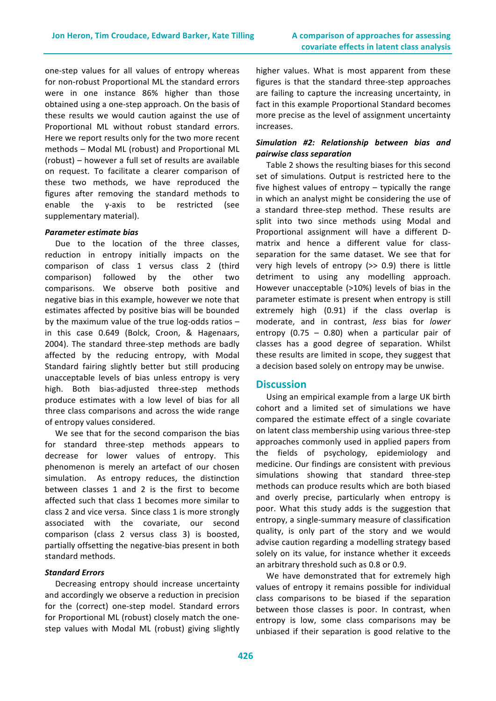one-step values for all values of entropy whereas for non-robust Proportional ML the standard errors were in one instance 86% higher than those obtained using a one-step approach. On the basis of these results we would caution against the use of Proportional ML without robust standard errors. Here we report results only for the two more recent methods - Modal ML (robust) and Proportional ML (robust) – however a full set of results are available on request. To facilitate a clearer comparison of these two methods, we have reproduced the figures after removing the standard methods to enable the y-axis to be restricted (see supplementary material).

#### *Parameter estimate bias*

Due to the location of the three classes, reduction in entropy initially impacts on the comparison of class 1 versus class 2 (third comparison) followed by the other two comparisons. We observe both positive and negative bias in this example, however we note that estimates affected by positive bias will be bounded by the maximum value of the true  $log-$ odds ratios  $$ in this case 0.649 (Bolck, Croon, & Hagenaars, 2004). The standard three-step methods are badly affected by the reducing entropy, with Modal Standard fairing slightly better but still producing unacceptable levels of bias unless entropy is very high. Both bias-adjusted three-step methods produce estimates with a low level of bias for all three class comparisons and across the wide range of entropy values considered.

We see that for the second comparison the bias for standard three-step methods appears to decrease for lower values of entropy. This phenomenon is merely an artefact of our chosen simulation. As entropy reduces, the distinction between classes 1 and 2 is the first to become affected such that class 1 becomes more similar to class 2 and vice versa. Since class 1 is more strongly associated with the covariate, our second comparison (class 2 versus class 3) is boosted, partially offsetting the negative-bias present in both standard methods.

# *Standard Errors*

Decreasing entropy should increase uncertainty and accordingly we observe a reduction in precision for the (correct) one-step model. Standard errors for Proportional ML (robust) closely match the onestep values with Modal ML (robust) giving slightly higher values. What is most apparent from these figures is that the standard three-step approaches are failing to capture the increasing uncertainty, in fact in this example Proportional Standard becomes more precise as the level of assignment uncertainty increases.

# *Simulation #2: Relationship between bias and pairwise class separation*

Table 2 shows the resulting biases for this second set of simulations. Output is restricted here to the five highest values of entropy  $-$  typically the range in which an analyst might be considering the use of a standard three-step method. These results are split into two since methods using Modal and Proportional assignment will have a different Dmatrix and hence a different value for classseparation for the same dataset. We see that for very high levels of entropy  $(>> 0.9)$  there is little detriment to using any modelling approach. However unacceptable (>10%) levels of bias in the parameter estimate is present when entropy is still extremely high (0.91) if the class overlap is moderate, and in contrast, *less* bias for *lower* entropy  $(0.75 - 0.80)$  when a particular pair of classes has a good degree of separation. Whilst these results are limited in scope, they suggest that a decision based solely on entropy may be unwise.

# **Discussion**

Using an empirical example from a large UK birth cohort and a limited set of simulations we have compared the estimate effect of a single covariate on latent class membership using various three-step approaches commonly used in applied papers from the fields of psychology, epidemiology and medicine. Our findings are consistent with previous simulations showing that standard three-step methods can produce results which are both biased and overly precise, particularly when entropy is poor. What this study adds is the suggestion that entropy, a single-summary measure of classification quality, is only part of the story and we would advise caution regarding a modelling strategy based solely on its value, for instance whether it exceeds an arbitrary threshold such as 0.8 or 0.9.

We have demonstrated that for extremely high values of entropy it remains possible for individual class comparisons to be biased if the separation between those classes is poor. In contrast, when entropy is low, some class comparisons may be unbiased if their separation is good relative to the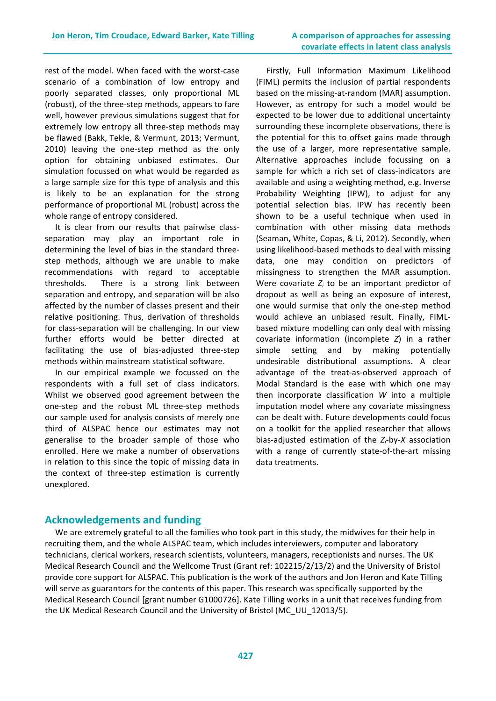rest of the model. When faced with the worst-case scenario of a combination of low entropy and poorly separated classes, only proportional ML (robust), of the three-step methods, appears to fare well, however previous simulations suggest that for extremely low entropy all three-step methods may be flawed (Bakk, Tekle, & Vermunt, 2013; Vermunt, 2010) leaving the one-step method as the only option for obtaining unbiased estimates. Our simulation focussed on what would be regarded as a large sample size for this type of analysis and this is likely to be an explanation for the strong performance of proportional ML (robust) across the whole range of entropy considered.

It is clear from our results that pairwise classseparation may play an important role in determining the level of bias in the standard threestep methods, although we are unable to make recommendations with regard to acceptable thresholds. There is a strong link between separation and entropy, and separation will be also affected by the number of classes present and their relative positioning. Thus, derivation of thresholds for class-separation will be challenging. In our view further efforts would be better directed at facilitating the use of bias-adjusted three-step methods within mainstream statistical software.

In our empirical example we focussed on the respondents with a full set of class indicators. Whilst we observed good agreement between the one-step and the robust ML three-step methods our sample used for analysis consists of merely one third of ALSPAC hence our estimates may not generalise to the broader sample of those who enrolled. Here we make a number of observations in relation to this since the topic of missing data in the context of three-step estimation is currently unexplored.

Firstly, Full Information Maximum Likelihood (FIML) permits the inclusion of partial respondents based on the missing-at-random (MAR) assumption. However, as entropy for such a model would be expected to be lower due to additional uncertainty surrounding these incomplete observations, there is the potential for this to offset gains made through the use of a larger, more representative sample. Alternative approaches include focussing on a sample for which a rich set of class-indicators are available and using a weighting method, e.g. Inverse Probability Weighting (IPW), to adjust for any potential selection bias. IPW has recently been shown to be a useful technique when used in combination with other missing data methods (Seaman, White, Copas, & Li, 2012). Secondly, when using likelihood-based methods to deal with missing data, one may condition on predictors of missingness to strengthen the MAR assumption. Were covariate  $Z_i$  to be an important predictor of dropout as well as being an exposure of interest, one would surmise that only the one-step method would achieve an unbiased result. Finally, FIMLbased mixture modelling can only deal with missing covariate information (incomplete *Z*) in a rather simple setting and by making potentially undesirable distributional assumptions. A clear advantage of the treat-as-observed approach of Modal Standard is the ease with which one may then incorporate classification *W* into a multiple imputation model where any covariate missingness can be dealt with. Future developments could focus on a toolkit for the applied researcher that allows bias-adjusted estimation of the *Zi*-by-*X*  association with a range of currently state-of-the-art missing data treatments.

# **Acknowledgements and funding**

We are extremely grateful to all the families who took part in this study, the midwives for their help in recruiting them, and the whole ALSPAC team, which includes interviewers, computer and laboratory technicians, clerical workers, research scientists, volunteers, managers, receptionists and nurses. The UK Medical Research Council and the Wellcome Trust (Grant ref: 102215/2/13/2) and the University of Bristol provide core support for ALSPAC. This publication is the work of the authors and Jon Heron and Kate Tilling will serve as guarantors for the contents of this paper. This research was specifically supported by the Medical Research Council [grant number G1000726]. Kate Tilling works in a unit that receives funding from the UK Medical Research Council and the University of Bristol (MC\_UU\_12013/5).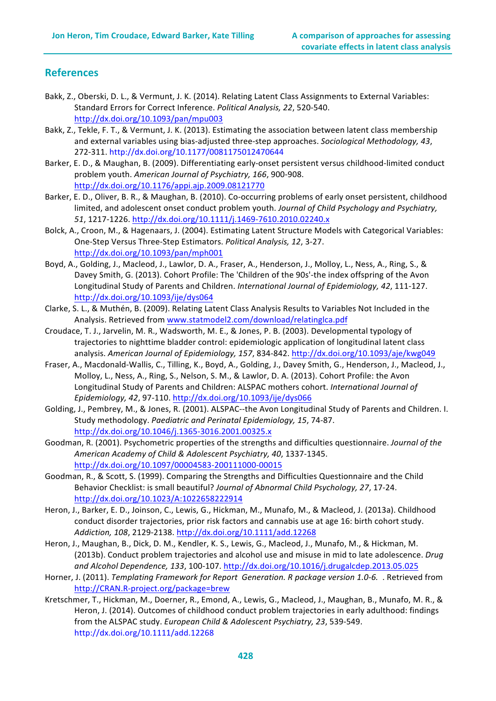# **References**

- Bakk, Z., Oberski, D. L., & Vermunt, J. K. (2014). Relating Latent Class Assignments to External Variables: Standard Errors for Correct Inference. *Political Analysis, 22*, 520-540. http://dx.doi.org/10.1093/pan/mpu003
- Bakk, Z., Tekle, F. T., & Vermunt, J. K. (2013). Estimating the association between latent class membership and external variables using bias-adjusted three-step approaches. Sociological Methodology, 43, 272-311. http://dx.doi.org/10.1177/0081175012470644
- Barker, E. D., & Maughan, B. (2009). Differentiating early-onset persistent versus childhood-limited conduct problem youth. American Journal of Psychiatry, 166, 900-908. http://dx.doi.org/10.1176/appi.ajp.2009.08121770
- Barker, E. D., Oliver, B. R., & Maughan, B. (2010). Co-occurring problems of early onset persistent, childhood limited, and adolescent onset conduct problem youth. *Journal of Child Psychology and Psychiatry*, 51, 1217-1226. http://dx.doi.org/10.1111/j.1469-7610.2010.02240.x
- Bolck, A., Croon, M., & Hagenaars, J. (2004). Estimating Latent Structure Models with Categorical Variables: One-Step Versus Three-Step Estimators. *Political Analysis, 12, 3-27.* http://dx.doi.org/10.1093/pan/mph001
- Boyd, A., Golding, J., Macleod, J., Lawlor, D. A., Fraser, A., Henderson, J., Molloy, L., Ness, A., Ring, S., & Davey Smith, G. (2013). Cohort Profile: The 'Children of the 90s'-the index offspring of the Avon Longitudinal Study of Parents and Children. *International Journal of Epidemiology, 42*, 111-127. http://dx.doi.org/10.1093/ije/dys064
- Clarke, S. L., & Muthén, B. (2009). Relating Latent Class Analysis Results to Variables Not Included in the Analysis. Retrieved from www.statmodel2.com/download/relatinglca.pdf
- Croudace, T. J., Jarvelin, M. R., Wadsworth, M. E., & Jones, P. B. (2003). Developmental typology of trajectories to nighttime bladder control: epidemiologic application of longitudinal latent class analysis. *American Journal of Epidemiology, 157*, 834-842. http://dx.doi.org/10.1093/aje/kwg049
- Fraser, A., Macdonald-Wallis, C., Tilling, K., Boyd, A., Golding, J., Davey Smith, G., Henderson, J., Macleod, J., Molloy, L., Ness, A., Ring, S., Nelson, S. M., & Lawlor, D. A. (2013). Cohort Profile: the Avon Longitudinal Study of Parents and Children: ALSPAC mothers cohort. International Journal of *Epidemiology, 42*, 97-110. http://dx.doi.org/10.1093/ije/dys066
- Golding, J., Pembrey, M., & Jones, R. (2001). ALSPAC--the Avon Longitudinal Study of Parents and Children. I. Study methodology. Paediatric and Perinatal Epidemiology, 15, 74-87. http://dx.doi.org/10.1046/j.1365-3016.2001.00325.x
- Goodman, R. (2001). Psychometric properties of the strengths and difficulties questionnaire. *Journal of the American Academy of Child & Adolescent Psychiatry, 40*, 1337-1345. http://dx.doi.org/10.1097/00004583-200111000-00015
- Goodman, R., & Scott, S. (1999). Comparing the Strengths and Difficulties Questionnaire and the Child Behavior Checklist: is small beautiful? Journal of Abnormal Child Psychology, 27, 17-24. http://dx.doi.org/10.1023/A:1022658222914
- Heron, J., Barker, E. D., Joinson, C., Lewis, G., Hickman, M., Munafo, M., & Macleod, J. (2013a). Childhood conduct disorder trajectories, prior risk factors and cannabis use at age 16: birth cohort study. *Addiction, 108*, 2129-2138. http://dx.doi.org/10.1111/add.12268
- Heron, J., Maughan, B., Dick, D. M., Kendler, K. S., Lewis, G., Macleod, J., Munafo, M., & Hickman, M. (2013b). Conduct problem trajectories and alcohol use and misuse in mid to late adolescence. *Drug and Alcohol Dependence, 133*, 100-107. http://dx.doi.org/10.1016/j.drugalcdep.2013.05.025
- Horner, J. (2011). *Templating Framework for Report Generation. R package version 1.0-6.* . Retrieved from http://CRAN.R-project.org/package=brew
- Kretschmer, T., Hickman, M., Doerner, R., Emond, A., Lewis, G., Macleod, J., Maughan, B., Munafo, M. R., & Heron, J. (2014). Outcomes of childhood conduct problem trajectories in early adulthood: findings from the ALSPAC study. *European Child & Adolescent Psychiatry, 23*, 539-549. http://dx.doi.org/10.1111/add.12268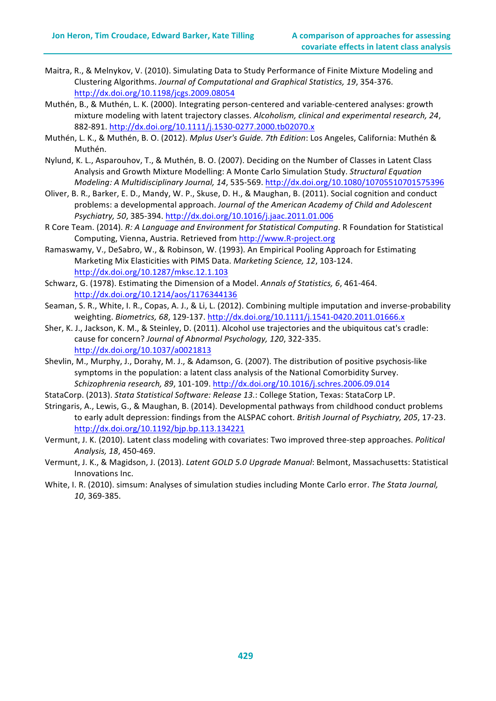- Maitra, R., & Melnykov, V. (2010). Simulating Data to Study Performance of Finite Mixture Modeling and Clustering Algorithms. Journal of Computational and Graphical Statistics, 19, 354-376. http://dx.doi.org/10.1198/jcgs.2009.08054
- Muthén, B., & Muthén, L. K. (2000). Integrating person-centered and variable-centered analyses: growth mixture modeling with latent trajectory classes. Alcoholism, clinical and experimental research, 24, 882-891. http://dx.doi.org/10.1111/j.1530-0277.2000.tb02070.x
- Muthén, L. K., & Muthén, B. O. (2012). *Mplus User's Guide. 7th Edition*: Los Angeles, California: Muthén & Muthén.
- Nylund, K. L., Asparouhov, T., & Muthén, B. O. (2007). Deciding on the Number of Classes in Latent Class Analysis and Growth Mixture Modelling: A Monte Carlo Simulation Study. Structural Equation *Modeling: A Multidisciplinary Journal, 14*, 535-569. http://dx.doi.org/10.1080/10705510701575396
- Oliver, B. R., Barker, E. D., Mandy, W. P., Skuse, D. H., & Maughan, B. (2011). Social cognition and conduct problems: a developmental approach. Journal of the American Academy of Child and Adolescent *Psychiatry, 50*, 385-394. http://dx.doi.org/10.1016/j.jaac.2011.01.006
- R Core Team. (2014). *R: A Language and Environment for Statistical Computing*. R Foundation for Statistical Computing, Vienna, Austria. Retrieved from http://www.R-project.org
- Ramaswamy, V., DeSabro, W., & Robinson, W. (1993). An Empirical Pooling Approach for Estimating Marketing Mix Elasticities with PIMS Data. *Marketing Science, 12*, 103-124. http://dx.doi.org/10.1287/mksc.12.1.103
- Schwarz, G. (1978). Estimating the Dimension of a Model. Annals of Statistics, 6, 461-464. http://dx.doi.org/10.1214/aos/1176344136
- Seaman, S. R., White, I. R., Copas, A. J., & Li, L. (2012). Combining multiple imputation and inverse-probability weighting. *Biometrics, 68*, 129-137. http://dx.doi.org/10.1111/j.1541-0420.2011.01666.x
- Sher, K. J., Jackson, K. M., & Steinley, D. (2011). Alcohol use trajectories and the ubiquitous cat's cradle: cause for concern? Journal of Abnormal Psychology, 120, 322-335. http://dx.doi.org/10.1037/a0021813
- Shevlin, M., Murphy, J., Dorahy, M. J., & Adamson, G. (2007). The distribution of positive psychosis-like symptoms in the population: a latent class analysis of the National Comorbidity Survey. *Schizophrenia research, 89*, 101-109. http://dx.doi.org/10.1016/j.schres.2006.09.014
- StataCorp. (2013). *Stata Statistical Software: Release 13.*: College Station, Texas: StataCorp LP.
- Stringaris, A., Lewis, G., & Maughan, B. (2014). Developmental pathways from childhood conduct problems to early adult depression: findings from the ALSPAC cohort. *British Journal of Psychiatry, 205, 17-23.* http://dx.doi.org/10.1192/bjp.bp.113.134221
- Vermunt, J. K. (2010). Latent class modeling with covariates: Two improved three-step approaches. *Political Analysis, 18*, 450-469.
- Vermunt, J. K., & Magidson, J. (2013). *Latent GOLD 5.0 Upgrade Manual*: Belmont, Massachusetts: Statistical Innovations Inc.
- White, I. R. (2010). simsum: Analyses of simulation studies including Monte Carlo error. The Stata Journal, *10*, 369-385.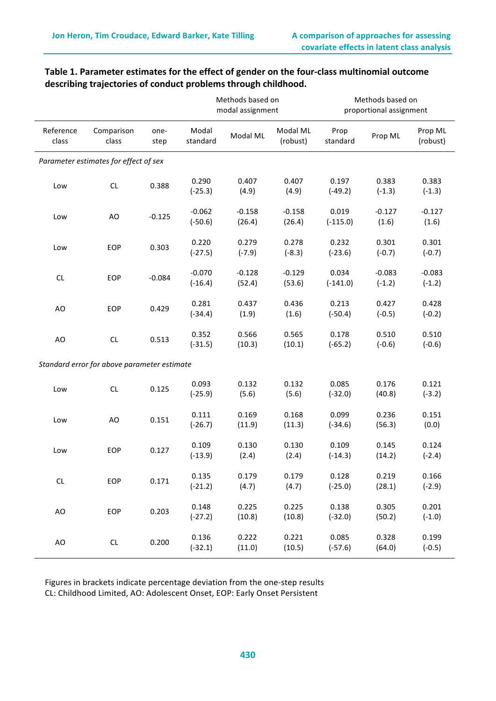|                    |                                             |              |                       | Methods based on<br>modal assignment |                      | Methods based on<br>proportional assignment |                      |                      |  |
|--------------------|---------------------------------------------|--------------|-----------------------|--------------------------------------|----------------------|---------------------------------------------|----------------------|----------------------|--|
| Reference<br>class | Comparison<br>class                         | one-<br>step | Modal<br>standard     | Modal ML                             | Modal ML<br>(robust) | Prop<br>standard                            | Prop ML              | Prop ML<br>(robust)  |  |
|                    | Parameter estimates for effect of sex       |              |                       |                                      |                      |                                             |                      |                      |  |
| Low                | $\mathsf{CL}$                               | 0.388        | 0.290<br>$(-25.3)$    | 0.407<br>(4.9)                       | 0.407<br>(4.9)       | 0.197<br>$(-49.2)$                          | 0.383<br>$(-1.3)$    | 0.383<br>$(-1.3)$    |  |
| Low                | AO                                          | $-0.125$     | $-0.062$<br>$(-50.6)$ | $-0.158$<br>(26.4)                   | $-0.158$<br>(26.4)   | 0.019<br>$(-115.0)$                         | $-0.127$<br>(1.6)    | $-0.127$<br>(1.6)    |  |
| Low                | EOP                                         | 0.303        | 0.220<br>$(-27.5)$    | 0.279<br>$(-7.9)$                    | 0.278<br>$(-8.3)$    | 0.232<br>$(-23.6)$                          | 0.301<br>$(-0.7)$    | 0.301<br>$(-0.7)$    |  |
| CL                 | EOP                                         | $-0.084$     | $-0.070$<br>$(-16.4)$ | $-0.128$<br>(52.4)                   | $-0.129$<br>(53.6)   | 0.034<br>$(-141.0)$                         | $-0.083$<br>$(-1.2)$ | $-0.083$<br>$(-1.2)$ |  |
| AO                 | EOP                                         | 0.429        | 0.281<br>$(-34.4)$    | 0.437<br>(1.9)                       | 0.436<br>(1.6)       | 0.213<br>$(-50.4)$                          | 0.427<br>$(-0.5)$    | 0.428<br>$(-0.2)$    |  |
| AO                 | CL                                          | 0.513        | 0.352<br>$(-31.5)$    | 0.566<br>(10.3)                      | 0.565<br>(10.1)      | 0.178<br>$(-65.2)$                          | 0.510<br>$(-0.6)$    | 0.510<br>$(-0.6)$    |  |
|                    | Standard error for above parameter estimate |              |                       |                                      |                      |                                             |                      |                      |  |
| Low                | $\mathsf{CL}$                               | 0.125        | 0.093<br>$(-25.9)$    | 0.132<br>(5.6)                       | 0.132<br>(5.6)       | 0.085<br>$(-32.0)$                          | 0.176<br>(40.8)      | 0.121<br>$(-3.2)$    |  |
| Low                | AO                                          | 0.151        | 0.111<br>$(-26.7)$    | 0.169<br>(11.9)                      | 0.168<br>(11.3)      | 0.099<br>$(-34.6)$                          | 0.236<br>(56.3)      | 0.151<br>(0.0)       |  |
| Low                | EOP                                         | 0.127        | 0.109<br>$(-13.9)$    | 0.130<br>(2.4)                       | 0.130<br>(2.4)       | 0.109<br>$(-14.3)$                          | 0.145<br>(14.2)      | 0.124<br>$(-2.4)$    |  |
| CL                 | EOP                                         | 0.171        | 0.135<br>$(-21.2)$    | 0.179<br>(4.7)                       | 0.179<br>(4.7)       | 0.128<br>$(-25.0)$                          | 0.219<br>(28.1)      | 0.166<br>$(-2.9)$    |  |
| AO                 | EOP                                         | 0.203        | 0.148<br>$(-27.2)$    | 0.225<br>(10.8)                      | 0.225<br>(10.8)      | 0.138<br>$(-32.0)$                          | 0.305<br>(50.2)      | 0.201<br>$(-1.0)$    |  |
| AO                 | CL                                          | 0.200        | 0.136<br>$(-32.1)$    | 0.222<br>(11.0)                      | 0.221<br>(10.5)      | 0.085<br>$(-57.6)$                          | 0.328<br>(64.0)      | 0.199<br>$(-0.5)$    |  |

# Table 1. Parameter estimates for the effect of gender on the four-class multinomial outcome describing trajectories of conduct problems through childhood.

Figures in brackets indicate percentage deviation from the one-step results CL: Childhood Limited, AO: Adolescent Onset, EOP: Early Onset Persistent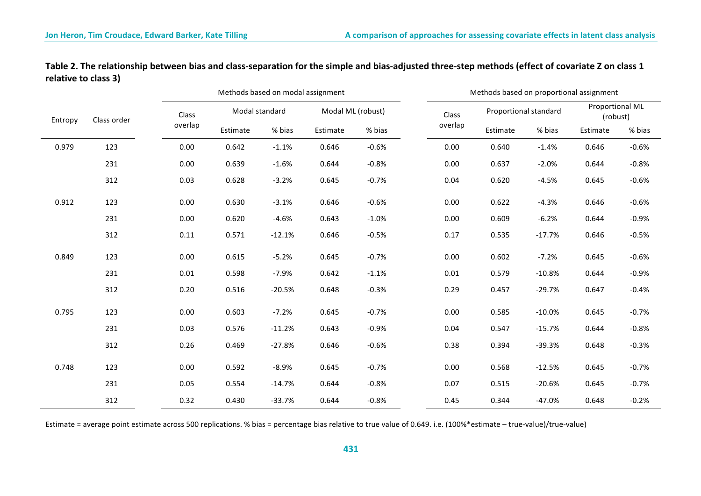|         |             |         | Methods based on modal assignment |                |          |                   |         | Methods based on proportional assignment |          |                             |         |  |
|---------|-------------|---------|-----------------------------------|----------------|----------|-------------------|---------|------------------------------------------|----------|-----------------------------|---------|--|
| Entropy | Class order | Class   |                                   | Modal standard |          | Modal ML (robust) |         | Proportional standard                    |          | Proportional ML<br>(robust) |         |  |
|         |             | overlap | Estimate                          | % bias         | Estimate | % bias            | overlap | Estimate                                 | % bias   | Estimate                    | % bias  |  |
| 0.979   | 123         | 0.00    | 0.642                             | $-1.1%$        | 0.646    | $-0.6%$           | 0.00    | 0.640                                    | $-1.4%$  | 0.646                       | $-0.6%$ |  |
|         | 231         | 0.00    | 0.639                             | $-1.6%$        | 0.644    | $-0.8%$           | 0.00    | 0.637                                    | $-2.0%$  | 0.644                       | $-0.8%$ |  |
|         | 312         | 0.03    | 0.628                             | $-3.2%$        | 0.645    | $-0.7%$           | 0.04    | 0.620                                    | $-4.5%$  | 0.645                       | $-0.6%$ |  |
| 0.912   | 123         | 0.00    | 0.630                             | $-3.1%$        | 0.646    | $-0.6%$           | 0.00    | 0.622                                    | $-4.3%$  | 0.646                       | $-0.6%$ |  |
|         | 231         | 0.00    | 0.620                             | $-4.6%$        | 0.643    | $-1.0%$           | 0.00    | 0.609                                    | $-6.2%$  | 0.644                       | $-0.9%$ |  |
|         | 312         | 0.11    | 0.571                             | $-12.1%$       | 0.646    | $-0.5%$           | 0.17    | 0.535                                    | $-17.7%$ | 0.646                       | $-0.5%$ |  |
| 0.849   | 123         | 0.00    | 0.615                             | $-5.2%$        | 0.645    | $-0.7%$           | 0.00    | 0.602                                    | $-7.2%$  | 0.645                       | $-0.6%$ |  |
|         | 231         | 0.01    | 0.598                             | $-7.9%$        | 0.642    | $-1.1%$           | 0.01    | 0.579                                    | $-10.8%$ | 0.644                       | $-0.9%$ |  |
|         | 312         | 0.20    | 0.516                             | $-20.5%$       | 0.648    | $-0.3%$           | 0.29    | 0.457                                    | $-29.7%$ | 0.647                       | $-0.4%$ |  |
| 0.795   | 123         | 0.00    | 0.603                             | $-7.2%$        | 0.645    | $-0.7%$           | 0.00    | 0.585                                    | $-10.0%$ | 0.645                       | $-0.7%$ |  |
|         | 231         | 0.03    | 0.576                             | $-11.2%$       | 0.643    | $-0.9%$           | 0.04    | 0.547                                    | $-15.7%$ | 0.644                       | $-0.8%$ |  |
|         | 312         | 0.26    | 0.469                             | $-27.8%$       | 0.646    | $-0.6%$           | 0.38    | 0.394                                    | $-39.3%$ | 0.648                       | $-0.3%$ |  |
| 0.748   | 123         | 0.00    | 0.592                             | $-8.9%$        | 0.645    | $-0.7%$           | 0.00    | 0.568                                    | $-12.5%$ | 0.645                       | $-0.7%$ |  |
|         | 231         | 0.05    | 0.554                             | $-14.7%$       | 0.644    | $-0.8%$           | 0.07    | 0.515                                    | $-20.6%$ | 0.645                       | $-0.7%$ |  |
|         | 312         | 0.32    | 0.430                             | $-33.7%$       | 0.644    | $-0.8%$           | 0.45    | 0.344                                    | $-47.0%$ | 0.648                       | $-0.2%$ |  |

Table 2. The relationship between bias and class-separation for the simple and bias-adjusted three-step methods (effect of covariate Z on class 1 relative to class 3)

Estimate = average point estimate across 500 replications. % bias = percentage bias relative to true value of 0.649. i.e. (100%\*estimate – true-value)/true-value)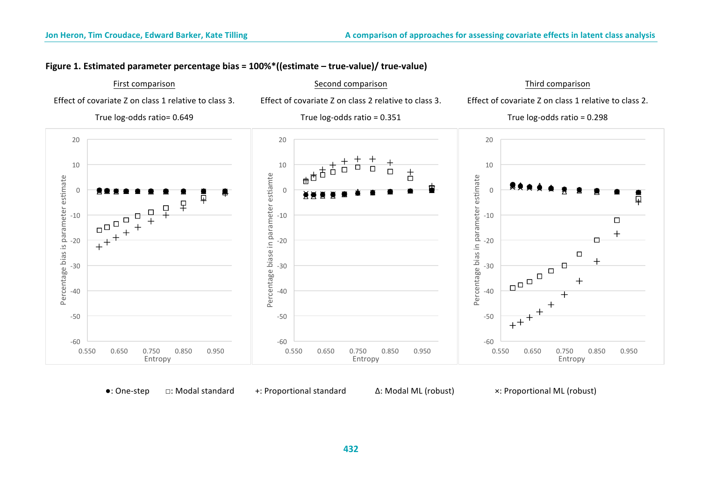# **Figure 1. Estimated parameter percentage bias = 100%\*((estimate – true-value)/ true-value)**

# First comparison

Effect of covariate Z on class 1 relative to class 3.

True log-odds ratio= 0.649

Effect of covariate Z on class 2 relative to class 3.

Second comparison

True  $log-odds$  ratio = 0.351

# Third comparison

Effect of covariate Z on class 1 relative to class 2. True  $log-$ odds ratio = 0.298



•: One-step □: Modal standard +: Proportional standard Δ: Modal ML (robust) ×: Proportional ML (robust)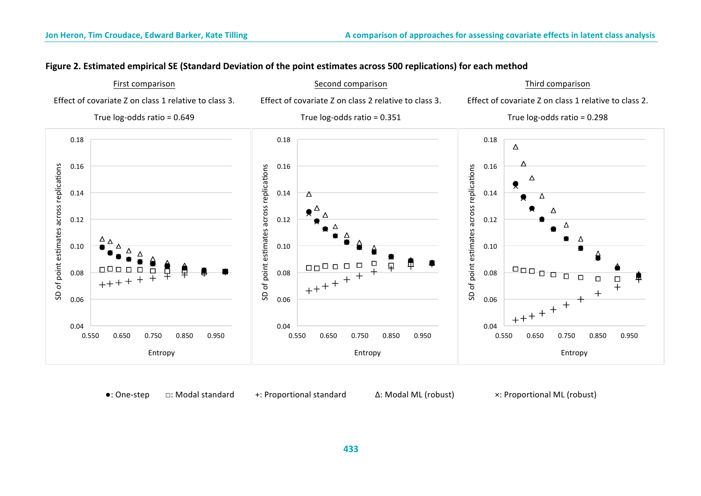# Figure 2. Estimated empirical SE (Standard Deviation of the point estimates across 500 replications) for each method



•: One-step □: Modal standard +: Proportional standard Δ: Modal ML (robust) ×: Proportional ML (robust)